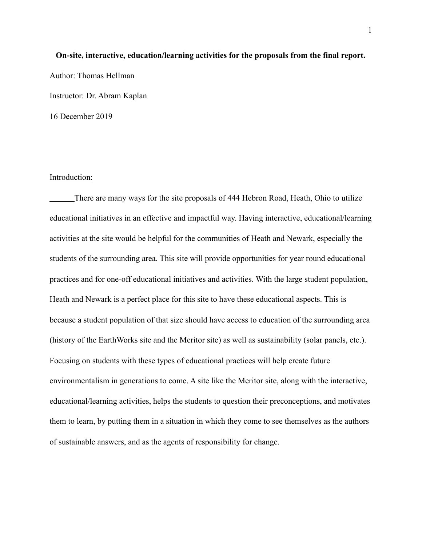# **On-site, interactive, education/learning activities for the proposals from the final report.**  Author: Thomas Hellman Instructor: Dr. Abram Kaplan 16 December 2019

#### Introduction:

There are many ways for the site proposals of 444 Hebron Road, Heath, Ohio to utilize educational initiatives in an effective and impactful way. Having interactive, educational/learning activities at the site would be helpful for the communities of Heath and Newark, especially the students of the surrounding area. This site will provide opportunities for year round educational practices and for one-off educational initiatives and activities. With the large student population, Heath and Newark is a perfect place for this site to have these educational aspects. This is because a student population of that size should have access to education of the surrounding area (history of the EarthWorks site and the Meritor site) as well as sustainability (solar panels, etc.). Focusing on students with these types of educational practices will help create future environmentalism in generations to come. A site like the Meritor site, along with the interactive, educational/learning activities, helps the students to question their preconceptions, and motivates them to learn, by putting them in a situation in which they come to see themselves as the authors of sustainable answers, and as the agents of responsibility for change.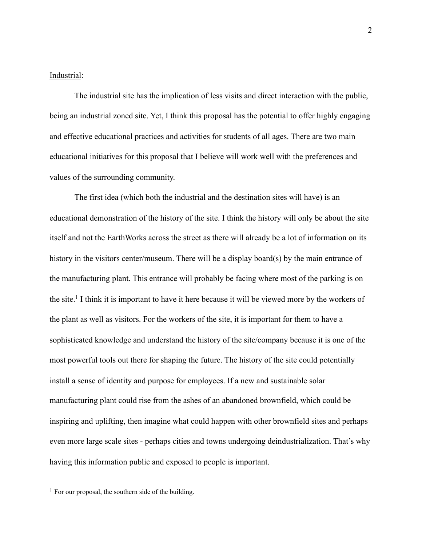#### Industrial:

 The industrial site has the implication of less visits and direct interaction with the public, being an industrial zoned site. Yet, I think this proposal has the potential to offer highly engaging and effective educational practices and activities for students of all ages. There are two main educational initiatives for this proposal that I believe will work well with the preferences and values of the surrounding community.

<span id="page-1-1"></span>The first idea (which both the industrial and the destination sites will have) is an educational demonstration of the history of the site. I think the history will only be about the site itself and not the EarthWorks across the street as there will already be a lot of information on its history in the visitors center/museum. There will be a display board(s) by the main entrance of the manufacturing plant. This entrance will probably be facing where most of the parking is on the site[.](#page-1-0)<sup>[1](#page-1-0)</sup> I think it is important to have it here because it will be viewed more by the workers of the plant as well as visitors. For the workers of the site, it is important for them to have a sophisticated knowledge and understand the history of the site/company because it is one of the most powerful tools out there for shaping the future. The history of the site could potentially install a sense of identity and purpose for employees. If a new and sustainable solar manufacturing plant could rise from the ashes of an abandoned brownfield, which could be inspiring and uplifting, then imagine what could happen with other brownfield sites and perhaps even more large scale sites - perhaps cities and towns undergoing deindustrialization. That's why having this information public and exposed to people is important.

<span id="page-1-0"></span> $<sup>1</sup>$  $<sup>1</sup>$  $<sup>1</sup>$  For our proposal, the southern side of the building.</sup>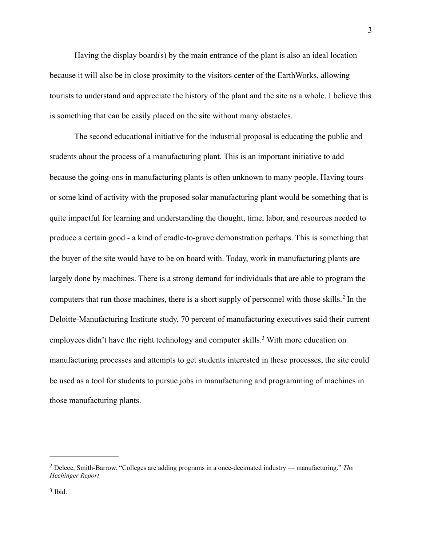Having the display board(s) by the main entrance of the plant is also an ideal location because it will also be in close proximity to the visitors center of the EarthWorks, allowing tourists to understand and appreciate the history of the plant and the site as a whole. I believe this is something that can be easily placed on the site without many obstacles.

<span id="page-2-2"></span> The second educational initiative for the industrial proposal is educating the public and students about the process of a manufacturing plant. This is an important initiative to add because the going-ons in manufacturing plants is often unknown to many people. Having tours or some kind of activity with the proposed solar manufacturing plant would be something that is quite impactful for learning and understanding the thought, time, labor, and resources needed to produce a certain good - a kind of cradle-to-grave demonstration perhaps. This is something that the buyer of the site would have to be on board with. Today, work in manufacturing plants are largely done by machines. There is a strong demand for individuals that are able to program the computersthat run those machines, there is a short supply of personnel with those skills.<sup>[2](#page-2-0)</sup> In the Deloitte-Manufacturing Institute study, 70 percent of manufacturing executives said their current employees didn't have the right technology and computer skills[.](#page-2-1)<sup>[3](#page-2-1)</sup> With more education on manufacturing processes and attempts to get students interested in these processes, the site could be used as a tool for students to pursue jobs in manufacturing and programming of machines in those manufacturing plants.

<span id="page-2-3"></span><span id="page-2-1"></span><span id="page-2-0"></span>Delece, Smith-Barrow. "Colleges are adding programs in a once-decimated industry — manufacturing." *The* [2](#page-2-2) *Hechinger Report*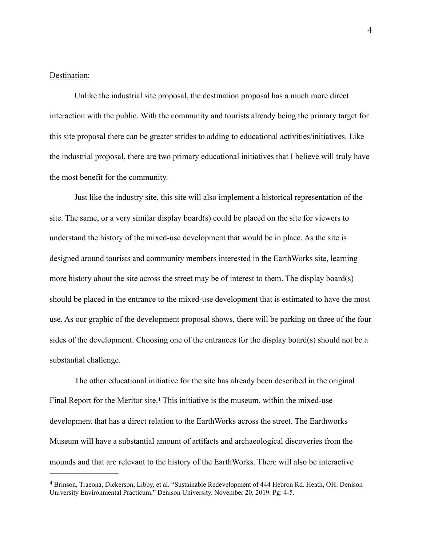### Destination:

Unlike the industrial site proposal, the destination proposal has a much more direct interaction with the public. With the community and tourists already being the primary target for this site proposal there can be greater strides to adding to educational activities/initiatives. Like the industrial proposal, there are two primary educational initiatives that I believe will truly have the most benefit for the community.

 Just like the industry site, this site will also implement a historical representation of the site. The same, or a very similar display board(s) could be placed on the site for viewers to understand the history of the mixed-use development that would be in place. As the site is designed around tourists and community members interested in the EarthWorks site, learning more history about the site across the street may be of interest to them. The display board(s) should be placed in the entrance to the mixed-use development that is estimated to have the most use. As our graphic of the development proposal shows, there will be parking on three of the four sides of the development. Choosing one of the entrances for the display board(s) should not be a substantial challenge.

<span id="page-3-1"></span>The other educational initiative for the site has already been described in the original Final Report for the Meritor site[.](#page-3-0)<sup>[4](#page-3-0)</sup> This initiative is the museum, within the mixed-use development that has a direct relation to the EarthWorks across the street. The Earthworks Museum will have a substantial amount of artifacts and archaeological discoveries from the mounds and that are relevant to the history of the EarthWorks. There will also be interactive

<span id="page-3-0"></span>Brinson, Traeona, Dickerson, Libby, et al. "Sustainable Redevelopment of 444 Hebron Rd. Heath, OH: Denison [4](#page-3-1) University Environmental Practicum." Denison University. November 20, 2019. Pg: 4-5.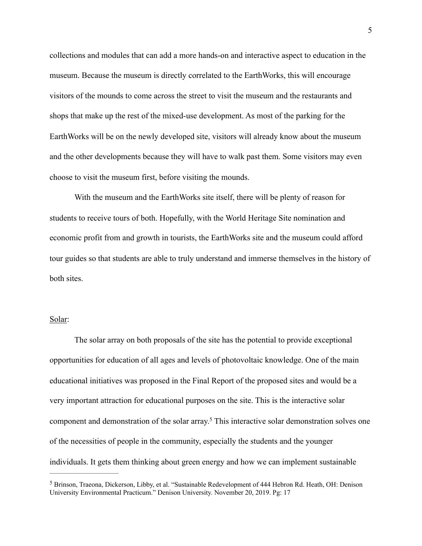collections and modules that can add a more hands-on and interactive aspect to education in the museum. Because the museum is directly correlated to the EarthWorks, this will encourage visitors of the mounds to come across the street to visit the museum and the restaurants and shops that make up the rest of the mixed-use development. As most of the parking for the EarthWorks will be on the newly developed site, visitors will already know about the museum and the other developments because they will have to walk past them. Some visitors may even choose to visit the museum first, before visiting the mounds.

With the museum and the EarthWorks site itself, there will be plenty of reason for students to receive tours of both. Hopefully, with the World Heritage Site nomination and economic profit from and growth in tourists, the EarthWorks site and the museum could afford tour guides so that students are able to truly understand and immerse themselves in the history of both sites.

## Solar:

 The solar array on both proposals of the site has the potential to provide exceptional opportunities for education of all ages and levels of photovoltaic knowledge. One of the main educational initiatives was proposed in the Final Report of the proposed sites and would be a very important attraction for educational purposes on the site. This is the interactive solar component and demonstration of the solar array[.](#page-4-0)<sup>[5](#page-4-0)</sup> This interactive solar demonstration solves one of the necessities of people in the community, especially the students and the younger individuals. It gets them thinking about green energy and how we can implement sustainable

<span id="page-4-1"></span><span id="page-4-0"></span><sup>&</sup>lt;sup>[5](#page-4-1)</sup> Brinson, Traeona, Dickerson, Libby, et al. "Sustainable Redevelopment of 444 Hebron Rd. Heath, OH: Denison University Environmental Practicum." Denison University. November 20, 2019. Pg: 17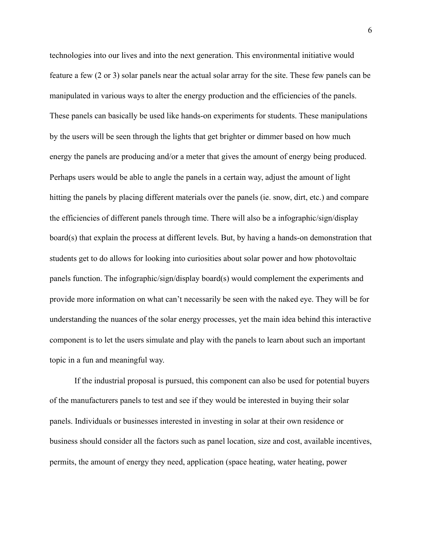technologies into our lives and into the next generation. This environmental initiative would feature a few (2 or 3) solar panels near the actual solar array for the site. These few panels can be manipulated in various ways to alter the energy production and the efficiencies of the panels. These panels can basically be used like hands-on experiments for students. These manipulations by the users will be seen through the lights that get brighter or dimmer based on how much energy the panels are producing and/or a meter that gives the amount of energy being produced. Perhaps users would be able to angle the panels in a certain way, adjust the amount of light hitting the panels by placing different materials over the panels (ie. snow, dirt, etc.) and compare the efficiencies of different panels through time. There will also be a infographic/sign/display board(s) that explain the process at different levels. But, by having a hands-on demonstration that students get to do allows for looking into curiosities about solar power and how photovoltaic panels function. The infographic/sign/display board(s) would complement the experiments and provide more information on what can't necessarily be seen with the naked eye. They will be for understanding the nuances of the solar energy processes, yet the main idea behind this interactive component is to let the users simulate and play with the panels to learn about such an important topic in a fun and meaningful way.

If the industrial proposal is pursued, this component can also be used for potential buyers of the manufacturers panels to test and see if they would be interested in buying their solar panels. Individuals or businesses interested in investing in solar at their own residence or business should consider all the factors such as panel location, size and cost, available incentives, permits, the amount of energy they need, application (space heating, water heating, power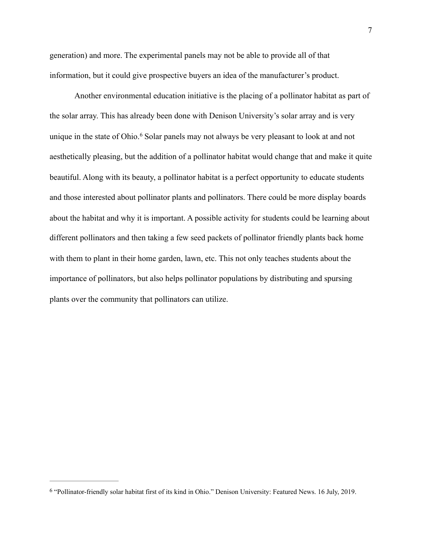generation) and more. The experimental panels may not be able to provide all of that information, but it could give prospective buyers an idea of the manufacturer's product.

<span id="page-6-1"></span> Another environmental education initiative is the placing of a pollinator habitat as part of the solar array. This has already been done with Denison University's solar array and is very uniquein the state of Ohio.<sup>[6](#page-6-0)</sup> Solar panels may not always be very pleasant to look at and not aesthetically pleasing, but the addition of a pollinator habitat would change that and make it quite beautiful. Along with its beauty, a pollinator habitat is a perfect opportunity to educate students and those interested about pollinator plants and pollinators. There could be more display boards about the habitat and why it is important. A possible activity for students could be learning about different pollinators and then taking a few seed packets of pollinator friendly plants back home with them to plant in their home garden, lawn, etc. This not only teaches students about the importance of pollinators, but also helps pollinator populations by distributing and spursing plants over the community that pollinators can utilize.

<span id="page-6-0"></span><sup>&</sup>lt;sup>[6](#page-6-1)</sup> "Pollinator-friendly solar habitat first of its kind in Ohio." Denison University: Featured News. 16 July, 2019.